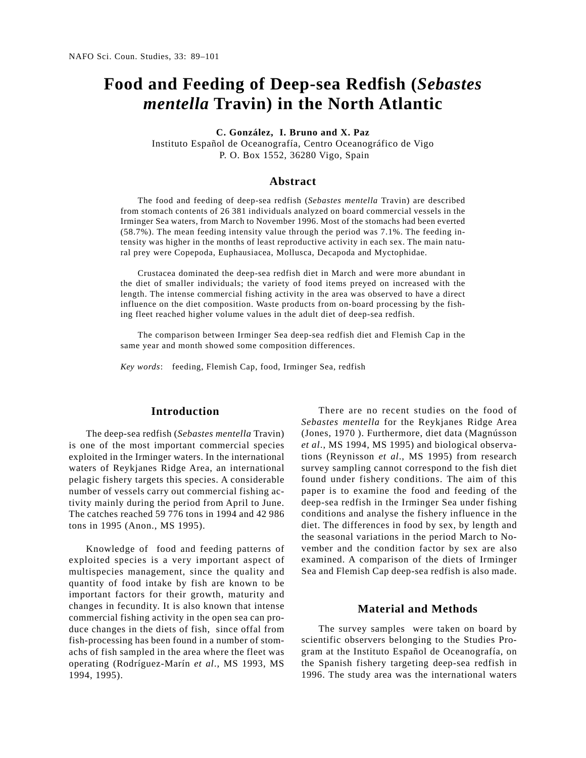# **Food and Feeding of Deep-sea Redfish (***Sebastes mentella* **Travin) in the North Atlantic**

**C. González, I. Bruno and X. Paz**

Instituto Español de Oceanografía, Centro Oceanográfico de Vigo P. O. Box 1552, 36280 Vigo, Spain

#### **Abstract**

The food and feeding of deep-sea redfish (*Sebastes mentella* Travin) are described from stomach contents of 26 381 individuals analyzed on board commercial vessels in the Irminger Sea waters, from March to November 1996. Most of the stomachs had been everted (58.7%). The mean feeding intensity value through the period was 7.1%. The feeding intensity was higher in the months of least reproductive activity in each sex. The main natural prey were Copepoda, Euphausiacea, Mollusca, Decapoda and Myctophidae.

Crustacea dominated the deep-sea redfish diet in March and were more abundant in the diet of smaller individuals; the variety of food items preyed on increased with the length. The intense commercial fishing activity in the area was observed to have a direct influence on the diet composition. Waste products from on-board processing by the fishing fleet reached higher volume values in the adult diet of deep-sea redfish.

The comparison between Irminger Sea deep-sea redfish diet and Flemish Cap in the same year and month showed some composition differences.

*Key words*: feeding, Flemish Cap, food, Irminger Sea, redfish

# **Introduction**

The deep-sea redfish (*Sebastes mentella* Travin) is one of the most important commercial species exploited in the Irminger waters. In the international waters of Reykjanes Ridge Area, an international pelagic fishery targets this species. A considerable number of vessels carry out commercial fishing activity mainly during the period from April to June. The catches reached 59 776 tons in 1994 and 42 986 tons in 1995 (Anon., MS 1995).

Knowledge of food and feeding patterns of exploited species is a very important aspect of multispecies management, since the quality and quantity of food intake by fish are known to be important factors for their growth, maturity and changes in fecundity. It is also known that intense commercial fishing activity in the open sea can produce changes in the diets of fish, since offal from fish-processing has been found in a number of stomachs of fish sampled in the area where the fleet was operating (Rodríguez-Marín *et al*., MS 1993, MS 1994, 1995).

There are no recent studies on the food of *Sebastes mentella* for the Reykjanes Ridge Area (Jones, 1970 ). Furthermore, diet data (Magnússon *et al*., MS 1994, MS 1995) and biological observations (Reynisson *et al*., MS 1995) from research survey sampling cannot correspond to the fish diet found under fishery conditions. The aim of this paper is to examine the food and feeding of the deep-sea redfish in the Irminger Sea under fishing conditions and analyse the fishery influence in the diet. The differences in food by sex, by length and the seasonal variations in the period March to November and the condition factor by sex are also examined. A comparison of the diets of Irminger Sea and Flemish Cap deep-sea redfish is also made.

#### **Material and Methods**

The survey samples were taken on board by scientific observers belonging to the Studies Program at the Instituto Español de Oceanografía, on the Spanish fishery targeting deep-sea redfish in 1996. The study area was the international waters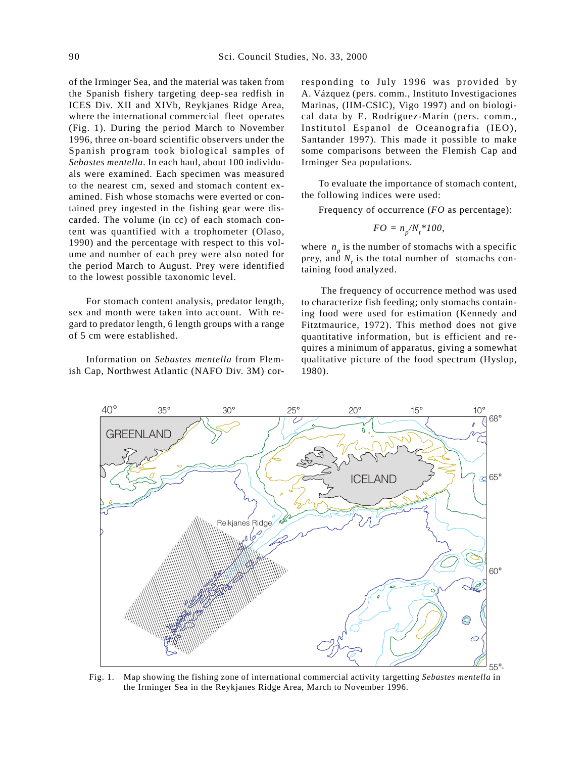of the Irminger Sea, and the material was taken from the Spanish fishery targeting deep-sea redfish in ICES Div. XII and XIVb, Reykjanes Ridge Area, where the international commercial fleet operates (Fig. 1). During the period March to November 1996, three on-board scientific observers under the Spanish program took biological samples of *Sebastes mentella*. In each haul, about 100 individuals were examined. Each specimen was measured to the nearest cm, sexed and stomach content examined. Fish whose stomachs were everted or contained prey ingested in the fishing gear were discarded. The volume (in cc) of each stomach content was quantified with a trophometer (Olaso, 1990) and the percentage with respect to this volume and number of each prey were also noted for the period March to August. Prey were identified to the lowest possible taxonomic level.

For stomach content analysis, predator length, sex and month were taken into account. With regard to predator length, 6 length groups with a range of 5 cm were established.

Information on *Sebastes mentella* from Flemish Cap, Northwest Atlantic (NAFO Div. 3M) corresponding to July 1996 was provided by A. Vázquez (pers. comm., Instituto Investigaciones Marinas, (IIM-CSIC), Vigo 1997) and on biological data by E. Rodríguez-Marín (pers. comm., Institutol Espanol de Oceanografia (IEO), Santander 1997). This made it possible to make some comparisons between the Flemish Cap and Irminger Sea populations.

To evaluate the importance of stomach content, the following indices were used:

Frequency of occurrence (*FO* as percentage):

$$
FO = n_p / N_t * 100,
$$

where  $n_p$  is the number of stomachs with a specific prey, and  $N_t$  is the total number of stomachs containing food analyzed.

The frequency of occurrence method was used to characterize fish feeding; only stomachs containing food were used for estimation (Kennedy and Fitztmaurice, 1972). This method does not give quantitative information, but is efficient and requires a minimum of apparatus, giving a somewhat qualitative picture of the food spectrum (Hyslop, 1980).



Fig. 1. Map showing the fishing zone of international commercial activity targetting *Sebastes mentella* in the Irminger Sea in the Reykjanes Ridge Area, March to November 1996.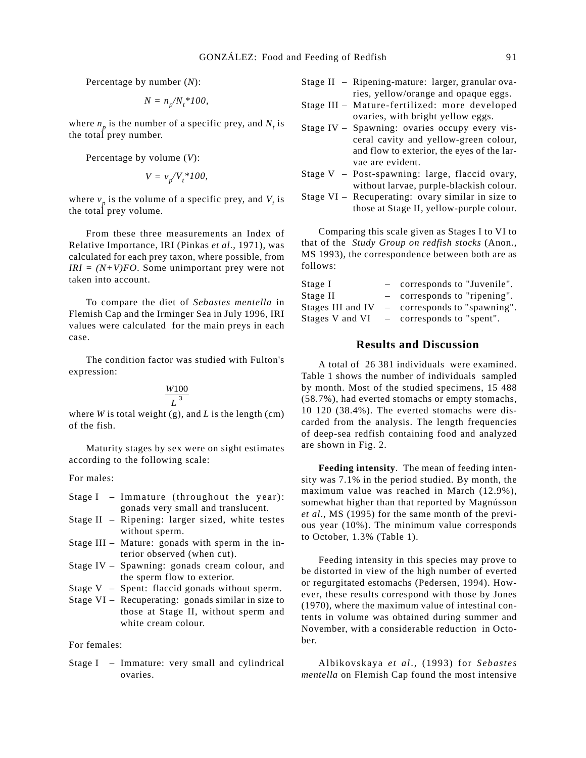Percentage by number (*N*):

$$
N = n_p / N_t * 100,
$$

where  $n_p$  is the number of a specific prey, and  $N_t$  is the total prey number.

Percentage by volume (*V*):

$$
V = v_p/V_t * 100,
$$

where  $v_p$  is the volume of a specific prey, and  $V_t$  is the total prey volume.

From these three measurements an Index of Relative Importance, IRI (Pinkas *et al*., 1971), was calculated for each prey taxon, where possible, from  $IRI = (N+V)FO$ . Some unimportant prey were not taken into account.

To compare the diet of *Sebastes mentella* in Flemish Cap and the Irminger Sea in July 1996, IRI values were calculated for the main preys in each case.

The condition factor was studied with Fulton's expression:

#### *W L* 100 3

where *W* is total weight (g), and *L* is the length (cm) of the fish.

Maturity stages by sex were on sight estimates according to the following scale:

For males:

- Stage I Immature (throughout the year): gonads very small and translucent.
- Stage II Ripening: larger sized, white testes without sperm.
- Stage III Mature: gonads with sperm in the interior observed (when cut).
- Stage IV Spawning: gonads cream colour, and the sperm flow to exterior.
- Stage V Spent: flaccid gonads without sperm.
- Stage VI Recuperating: gonads similar in size to those at Stage II, without sperm and white cream colour.

#### For females:

Stage I – Immature: very small and cylindrical ovaries.

- Stage II Ripening-mature: larger, granular ovaries, yellow/orange and opaque eggs.
- Stage III Mature-fertilized: more developed ovaries, with bright yellow eggs.
- Stage IV Spawning: ovaries occupy every visceral cavity and yellow-green colour, and flow to exterior, the eyes of the larvae are evident.
- Stage V Post-spawning: large, flaccid ovary, without larvae, purple-blackish colour.
- Stage VI Recuperating: ovary similar in size to those at Stage II, yellow-purple colour.

Comparing this scale given as Stages I to VI to that of the *Study Group on redfish stocks* (Anon., MS 1993), the correspondence between both are as follows:

| Stage I           |                          | corresponds to "Juvenile".   |
|-------------------|--------------------------|------------------------------|
| Stage II          |                          | corresponds to "ripening".   |
| Stages III and IV |                          | - corresponds to "spawning". |
| Stages V and VI   | $\overline{\phantom{0}}$ | corresponds to "spent".      |

# **Results and Discussion**

A total of 26 381 individuals were examined. Table 1 shows the number of individuals sampled by month. Most of the studied specimens, 15 488 (58.7%), had everted stomachs or empty stomachs, 10 120 (38.4%). The everted stomachs were discarded from the analysis. The length frequencies of deep-sea redfish containing food and analyzed are shown in Fig. 2.

**Feeding intensity**. The mean of feeding intensity was 7.1% in the period studied. By month, the maximum value was reached in March (12.9%), somewhat higher than that reported by Magnússon *et al*., MS (1995) for the same month of the previous year (10%). The minimum value corresponds to October, 1.3% (Table 1).

Feeding intensity in this species may prove to be distorted in view of the high number of everted or regurgitated estomachs (Pedersen, 1994). However, these results correspond with those by Jones (1970), where the maximum value of intestinal contents in volume was obtained during summer and November, with a considerable reduction in October.

Albikovskaya *et al*., (1993) for *Sebastes mentella* on Flemish Cap found the most intensive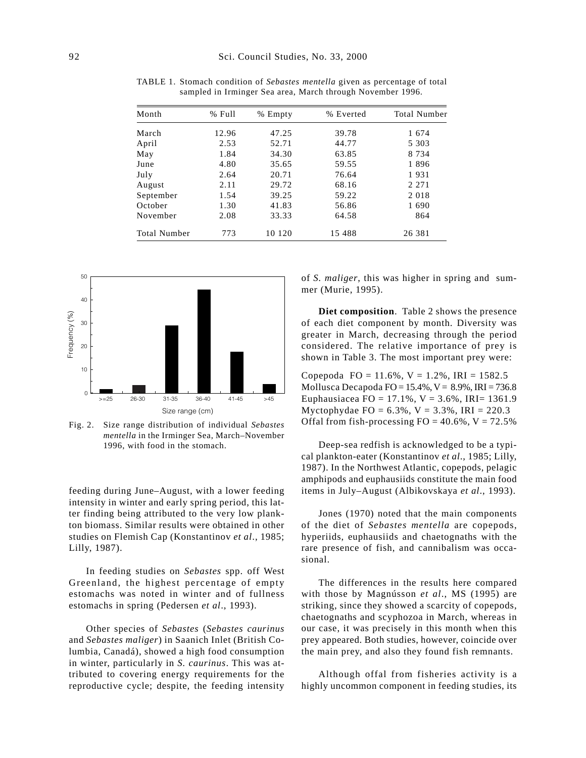| Month               | % Full | % Empty | % Everted | <b>Total Number</b> |
|---------------------|--------|---------|-----------|---------------------|
| March               | 12.96  | 47.25   | 39.78     | 1674                |
| April               | 2.53   | 52.71   | 44.77     | 5 3 0 3             |
| May                 | 1.84   | 34.30   | 63.85     | 8 7 3 4             |
| June                | 4.80   | 35.65   | 59.55     | 1896                |
| July                | 2.64   | 20.71   | 76.64     | 1931                |
| August              | 2.11   | 29.72   | 68.16     | 2 2 7 1             |
| September           | 1.54   | 39.25   | 59.22     | 2018                |
| October             | 1.30   | 41.83   | 56.86     | 1690                |
| November            | 2.08   | 33.33   | 64.58     | 864                 |
| <b>Total Number</b> | 773    | 10 120  | 15 488    | 26 381              |

TABLE 1. Stomach condition of *Sebastes mentella* given as percentage of total sampled in Irminger Sea area, March through November 1996.



Fig. 2. Size range distribution of individual *Sebastes mentella* in the Irminger Sea, March–November 1996, with food in the stomach.

feeding during June–August, with a lower feeding intensity in winter and early spring period, this latter finding being attributed to the very low plankton biomass. Similar results were obtained in other studies on Flemish Cap (Konstantinov *et al*., 1985; Lilly, 1987).

In feeding studies on *Sebastes* spp. off West Greenland, the highest percentage of empty estomachs was noted in winter and of fullness estomachs in spring (Pedersen *et al*., 1993).

Other species of *Sebastes* (*Sebastes caurinus* and *Sebastes maliger*) in Saanich Inlet (British Columbia, Canadá), showed a high food consumption in winter, particularly in *S. caurinus*. This was attributed to covering energy requirements for the reproductive cycle; despite, the feeding intensity of *S. maliger*, this was higher in spring and summer (Murie, 1995).

**Diet composition**. Table 2 shows the presence of each diet component by month. Diversity was greater in March, decreasing through the period considered. The relative importance of prey is shown in Table 3. The most important prey were:

Copepoda FO = 11.6%,  $V = 1.2$ %, IRI = 1582.5 Mollusca Decapoda FO =  $15.4\%$ , V =  $8.9\%$ , IRI = 736.8 Euphausiacea FO = 17.1%,  $V = 3.6$ %, IRI= 1361.9 Myctophydae FO =  $6.3\%$ , V =  $3.3\%$ , IRI = 220.3 Offal from fish-processing  $FO = 40.6\%$ ,  $V = 72.5\%$ 

Deep-sea redfish is acknowledged to be a typical plankton-eater (Konstantinov *et al*., 1985; Lilly, 1987). In the Northwest Atlantic, copepods, pelagic amphipods and euphausiids constitute the main food items in July–August (Albikovskaya *et al*., 1993).

Jones (1970) noted that the main components of the diet of *Sebastes mentella* are copepods, hyperiids, euphausiids and chaetognaths with the rare presence of fish, and cannibalism was occasional.

The differences in the results here compared with those by Magnússon *et al*., MS (1995) are striking, since they showed a scarcity of copepods, chaetognaths and scyphozoa in March, whereas in our case, it was precisely in this month when this prey appeared. Both studies, however, coincide over the main prey, and also they found fish remnants.

Although offal from fisheries activity is a highly uncommon component in feeding studies, its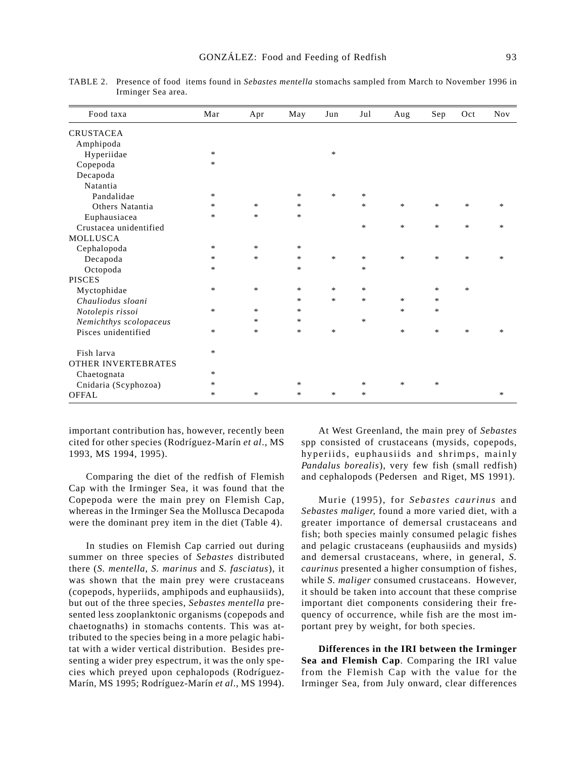| Food taxa                  | Mar    | Apr    | May    | Jun    | Jul    | Aug    | Sep    | Oct    | <b>Nov</b> |
|----------------------------|--------|--------|--------|--------|--------|--------|--------|--------|------------|
| <b>CRUSTACEA</b>           |        |        |        |        |        |        |        |        |            |
| Amphipoda                  |        |        |        |        |        |        |        |        |            |
| Hyperiidae                 | $\ast$ |        |        | $\ast$ |        |        |        |        |            |
| Copepoda                   | *      |        |        |        |        |        |        |        |            |
| Decapoda                   |        |        |        |        |        |        |        |        |            |
| Natantia                   |        |        |        |        |        |        |        |        |            |
| Pandalidae                 | $\ast$ |        | *      | $\ast$ | $\ast$ |        |        |        |            |
| Others Natantia            | *      | $\ast$ | *      |        | $\ast$ | $\ast$ | $\ast$ | $\ast$ | $\ast$     |
| Euphausiacea               | $\ast$ | $\ast$ | $\ast$ |        |        |        |        |        |            |
| Crustacea unidentified     |        |        |        |        | $\ast$ | $\ast$ | $\ast$ | $\ast$ | $\ast$     |
| MOLLUSCA                   |        |        |        |        |        |        |        |        |            |
| Cephalopoda                | $\ast$ | $\ast$ | $\ast$ |        |        |        |        |        |            |
| Decapoda                   | $\ast$ | $\ast$ | *      | $\ast$ | *      | $*$    | $\ast$ | $\ast$ | $\ast$     |
| Octopoda                   | *      |        | *      |        | $\ast$ |        |        |        |            |
| PISCES                     |        |        |        |        |        |        |        |        |            |
| Myctophidae                | $\ast$ | $\ast$ | *      | $\ast$ | $\ast$ |        | $\ast$ | $\ast$ |            |
| Chauliodus sloani          |        |        | *      | $\ast$ | $\ast$ | $\ast$ | $\ast$ |        |            |
| Notolepis rissoi           | $\ast$ | $\ast$ | *      |        |        | $\ast$ | $\ast$ |        |            |
| Nemichthys scolopaceus     |        | $\ast$ | *      |        | *      |        |        |        |            |
| Pisces unidentified        | $\ast$ | $\ast$ | *      | $\ast$ |        | $\ast$ | $\ast$ | $\ast$ | $\ast$     |
| Fish larva                 | $\ast$ |        |        |        |        |        |        |        |            |
| <b>OTHER INVERTEBRATES</b> |        |        |        |        |        |        |        |        |            |
| Chaetognata                | $\ast$ |        |        |        |        |        |        |        |            |
| Cnidaria (Scyphozoa)       | $\ast$ |        | *      |        | *      | $\ast$ | $\ast$ |        |            |
| <b>OFFAL</b>               | $\ast$ | $\ast$ | $\ast$ | $\ast$ | $\ast$ |        |        |        | $\ast$     |

TABLE 2. Presence of food items found in *Sebastes mentella* stomachs sampled from March to November 1996 in Irminger Sea area.

important contribution has, however, recently been cited for other species (Rodríguez-Marín *et al*., MS 1993, MS 1994, 1995).

Comparing the diet of the redfish of Flemish Cap with the Irminger Sea, it was found that the Copepoda were the main prey on Flemish Cap, whereas in the Irminger Sea the Mollusca Decapoda were the dominant prey item in the diet (Table 4).

In studies on Flemish Cap carried out during summer on three species of *Sebastes* distributed there (*S. mentella*, *S. marinus* and *S. fasciatus*), it was shown that the main prey were crustaceans (copepods, hyperiids, amphipods and euphausiids), but out of the three species, *Sebastes mentella* presented less zooplanktonic organisms (copepods and chaetognaths) in stomachs contents. This was attributed to the species being in a more pelagic habitat with a wider vertical distribution. Besides presenting a wider prey espectrum, it was the only species which preyed upon cephalopods (Rodríguez-Marín, MS 1995; Rodríguez-Marín *et al*., MS 1994).

At West Greenland, the main prey of *Sebastes* spp consisted of crustaceans (mysids, copepods, hyperiids, euphausiids and shrimps, mainly *Pandalus borealis*), very few fish (small redfish) and cephalopods (Pedersen and Riget, MS 1991).

Murie (1995), for *Sebastes caurinus* and *Sebastes maliger,* found a more varied diet, with a greater importance of demersal crustaceans and fish; both species mainly consumed pelagic fishes and pelagic crustaceans (euphausiids and mysids) and demersal crustaceans, where, in general, *S. caurinus* presented a higher consumption of fishes, while *S. maliger* consumed crustaceans. However, it should be taken into account that these comprise important diet components considering their frequency of occurrence, while fish are the most important prey by weight, for both species.

**Differences in the IRI between the Irminger Sea and Flemish Cap**. Comparing the IRI value from the Flemish Cap with the value for the Irminger Sea, from July onward, clear differences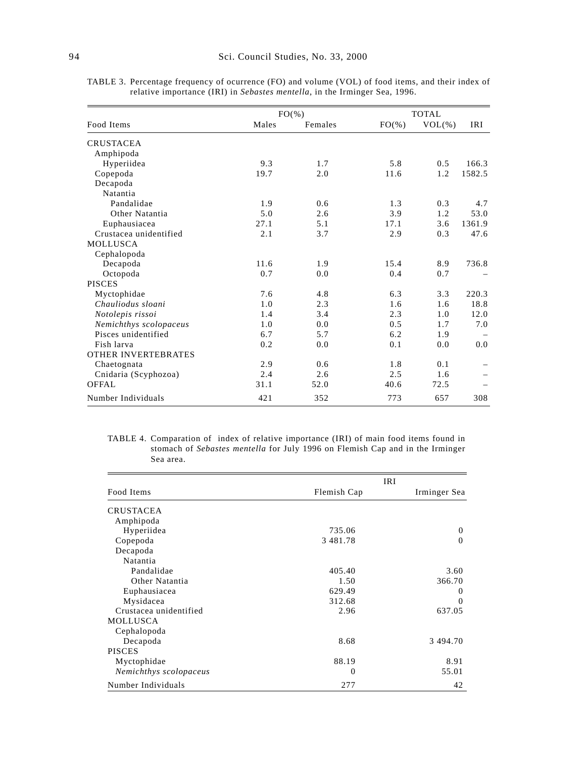|                            |       | $FO(\% )$ |           | <b>TOTAL</b> |            |  |
|----------------------------|-------|-----------|-----------|--------------|------------|--|
| Food Items                 | Males | Females   | $FO(\% )$ | $VOL(\%)$    | <b>IRI</b> |  |
| <b>CRUSTACEA</b>           |       |           |           |              |            |  |
| Amphipoda                  |       |           |           |              |            |  |
| Hyperiidea                 | 9.3   | 1.7       | 5.8       | 0.5          | 166.3      |  |
| Copepoda                   | 19.7  | 2.0       | 11.6      | 1.2          | 1582.5     |  |
| Decapoda                   |       |           |           |              |            |  |
| Natantia                   |       |           |           |              |            |  |
| Pandalidae                 | 1.9   | 0.6       | 1.3       | 0.3          | 4.7        |  |
| Other Natantia             | 5.0   | 2.6       | 3.9       | 1.2          | 53.0       |  |
| Euphausiacea               | 27.1  | 5.1       | 17.1      | 3.6          | 1361.9     |  |
| Crustacea unidentified     | 2.1   | 3.7       | 2.9       | 0.3          | 47.6       |  |
| <b>MOLLUSCA</b>            |       |           |           |              |            |  |
| Cephalopoda                |       |           |           |              |            |  |
| Decapoda                   | 11.6  | 1.9       | 15.4      | 8.9          | 736.8      |  |
| Octopoda                   | 0.7   | 0.0       | 0.4       | 0.7          |            |  |
| <b>PISCES</b>              |       |           |           |              |            |  |
| Myctophidae                | 7.6   | 4.8       | 6.3       | 3.3          | 220.3      |  |
| Chauliodus sloani          | 1.0   | 2.3       | 1.6       | 1.6          | 18.8       |  |
| Notolepis rissoi           | 1.4   | 3.4       | 2.3       | 1.0          | 12.0       |  |
| Nemichthys scolopaceus     | 1.0   | 0.0       | 0.5       | 1.7          | 7.0        |  |
| Pisces unidentified        | 6.7   | 5.7       | 6.2       | 1.9          |            |  |
| Fish larva                 | 0.2   | 0.0       | 0.1       | 0.0          | 0.0        |  |
| <b>OTHER INVERTEBRATES</b> |       |           |           |              |            |  |
| Chaetognata                | 2.9   | 0.6       | 1.8       | 0.1          |            |  |
| Cnidaria (Scyphozoa)       | 2.4   | 2.6       | 2.5       | 1.6          |            |  |
| <b>OFFAL</b>               | 31.1  | 52.0      | 40.6      | 72.5         |            |  |
| Number Individuals         | 421   | 352       | 773       | 657          | 308        |  |

TABLE 3. Percentage frequency of ocurrence (FO) and volume (VOL) of food items, and their index of relative importance (IRI) in *Sebastes mentella*, in the Irminger Sea, 1996.

TABLE 4. Comparation of index of relative importance (IRI) of main food items found in stomach of *Sebastes mentella* for July 1996 on Flemish Cap and in the Irminger Sea area.

|                        | <b>IRI</b>    |              |
|------------------------|---------------|--------------|
| Food Items             | Flemish Cap   | Irminger Sea |
| <b>CRUSTACEA</b>       |               |              |
| Amphipoda              |               |              |
| Hyperiidea             | 735.06        | $\Omega$     |
| Copepoda               | 3 4 8 1 . 7 8 | $\Omega$     |
| Decapoda               |               |              |
| Natantia               |               |              |
| Pandalidae             | 405.40        | 3.60         |
| Other Natantia         | 1.50          | 366.70       |
| Euphausiacea           | 629.49        | $\Omega$     |
| Mysidacea              | 312.68        | $\Omega$     |
| Crustacea unidentified | 2.96          | 637.05       |
| MOLLUSCA               |               |              |
| Cephalopoda            |               |              |
| Decapoda               | 8.68          | 3 494.70     |
| <b>PISCES</b>          |               |              |
| Myctophidae            | 88.19         | 8.91         |
| Nemichthys scolopaceus | 0             | 55.01        |
| Number Individuals     | 277           | 42           |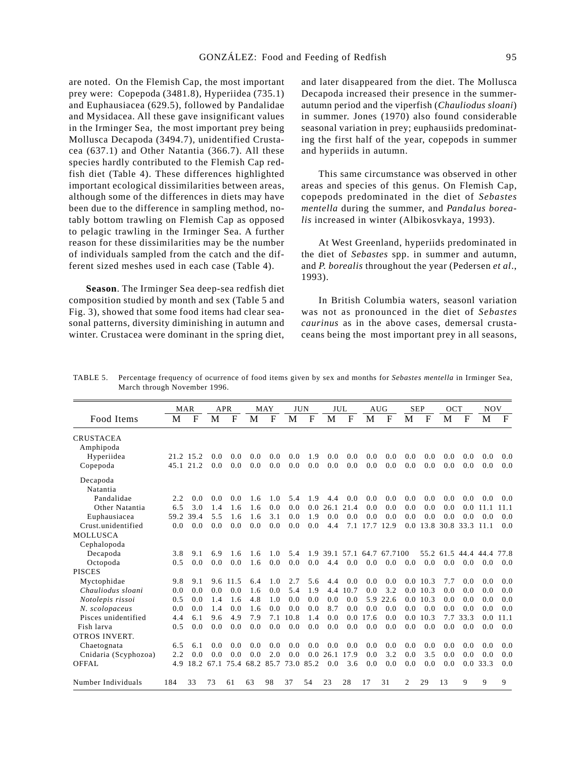are noted. On the Flemish Cap, the most important prey were: Copepoda (3481.8), Hyperiidea (735.1) and Euphausiacea (629.5), followed by Pandalidae and Mysidacea. All these gave insignificant values in the Irminger Sea, the most important prey being Mollusca Decapoda (3494.7), unidentified Crustacea (637.1) and Other Natantia (366.7). All these species hardly contributed to the Flemish Cap redfish diet (Table 4). These differences highlighted important ecological dissimilarities between areas, although some of the differences in diets may have been due to the difference in sampling method, notably bottom trawling on Flemish Cap as opposed to pelagic trawling in the Irminger Sea. A further reason for these dissimilarities may be the number of individuals sampled from the catch and the different sized meshes used in each case (Table 4).

**Season**. The Irminger Sea deep-sea redfish diet composition studied by month and sex (Table 5 and Fig. 3), showed that some food items had clear seasonal patterns, diversity diminishing in autumn and winter. Crustacea were dominant in the spring diet,

and later disappeared from the diet. The Mollusca Decapoda increased their presence in the summerautumn period and the viperfish (*Chauliodus sloani*) in summer. Jones (1970) also found considerable seasonal variation in prey; euphausiids predominating the first half of the year, copepods in summer and hyperiids in autumn.

This same circumstance was observed in other areas and species of this genus. On Flemish Cap, copepods predominated in the diet of *Sebastes mentella* during the summer, and *Pandalus borealis* increased in winter (Albikosvkaya, 1993).

At West Greenland, hyperiids predominated in the diet of *Sebastes* spp. in summer and autumn, and *P. borealis* throughout the year (Pedersen *et al*., 1993).

In British Columbia waters, seasonl variation was not as pronounced in the diet of *Sebastes caurinus* as in the above cases, demersal crustaceans being the most important prey in all seasons,

|                      |      | <b>MAR</b> |      | <b>APR</b> |           | MAY  |      | <b>JUN</b> |                            | JUL         |         | <b>AUG</b>  |     | <b>SEP</b> | OCT                 |               | <b>NOV</b> |             |
|----------------------|------|------------|------|------------|-----------|------|------|------------|----------------------------|-------------|---------|-------------|-----|------------|---------------------|---------------|------------|-------------|
| Food Items           | M    | F          | М    | F          | M         | F    | М    | F          | M                          | $\mathbf F$ | M       | $\mathbf F$ | M   | $_{\rm F}$ | M                   | $\mathbf F$   | М          | $\mathbf F$ |
| <b>CRUSTACEA</b>     |      |            |      |            |           |      |      |            |                            |             |         |             |     |            |                     |               |            |             |
| Amphipoda            |      |            |      |            |           |      |      |            |                            |             |         |             |     |            |                     |               |            |             |
| Hyperiidea           |      | 21.2 15.2  | 0.0  | 0.0        | 0.0       | 0.0  | 0.0  | 1.9        | 0.0                        | 0.0         | 0.0     | 0.0         | 0.0 | 0.0        | 0.0                 | 0.0           | 0.0        | 0.0         |
| Copepoda             |      | 45.1 21.2  | 0.0  | 0.0        | 0.0       | 0.0  | 0.0  | 0.0        | 0.0                        | 0.0         | 0.0     | 0.0         | 0.0 | 0.0        | 0.0                 | 0.0           | 0.0        | 0.0         |
| Decapoda             |      |            |      |            |           |      |      |            |                            |             |         |             |     |            |                     |               |            |             |
| Natantia             |      |            |      |            |           |      |      |            |                            |             |         |             |     |            |                     |               |            |             |
| Pandalidae           | 2.2  | 0.0        | 0.0  | 0.0        | 1.6       | 1.0  | 5.4  | 1.9        | 4.4                        | 0.0         | 0.0     | 0.0         | 0.0 | 0.0        | 0.0                 | 0.0           | 0.0        | 0.0         |
| Other Natantia       | 6.5  | 3.0        | 1.4  | 1.6        | 1.6       | 0.0  | 0.0  | 0.0        | 26.1                       | 21.4        | 0.0     | 0.0         | 0.0 | 0.0        | 0.0                 | 0.0           | 11.1       | 11.1        |
| Euphausiacea         | 59.2 | 39.4       | 5.5  | 1.6        | 1.6       | 3.1  | 0.0  | 1.9        | 0.0                        | 0.0         | 0.0     | 0.0         | 0.0 | 0.0        | 0.0                 | 0.0           | 0.0        | 0.0         |
| Crust.unidentified   | 0.0  | 0.0        | 0.0  | 0.0        | 0.0       | 0.0  | 0.0  | 0.0        | 4.4                        | 7.1         | 17.7    | 12.9        | 0.0 | 13.8       |                     | 30.8 33.3     | 11.1       | 0.0         |
| <b>MOLLUSCA</b>      |      |            |      |            |           |      |      |            |                            |             |         |             |     |            |                     |               |            |             |
| Cephalopoda          |      |            |      |            |           |      |      |            |                            |             |         |             |     |            |                     |               |            |             |
| Decapoda             | 3.8  | 9.1        | 6.9  | 1.6        | 1.6       | 1.0  | 5.4  |            | 1.9 39.1 57.1 64.7 67.7100 |             |         |             |     |            | 55.2 61.5 44.4 44.4 |               |            | 77.8        |
| Octopoda             | 0.5  | 0.0        | 0.0  | 0.0        | 1.6       | 0.0  | 0.0  | 0.0        | 4.4                        | 0.0         | 0.0     | 0.0         | 0.0 | 0.0        | 0.0                 | 0.0           | 0.0        | 0.0         |
| <b>PISCES</b>        |      |            |      |            |           |      |      |            |                            |             |         |             |     |            |                     |               |            |             |
| Myctophidae          | 9.8  | 9.1        |      | 9.6 11.5   | 6.4       | 1.0  | 2.7  | 5.6        | 4.4                        | 0.0         | 0.0     | 0.0         |     | 0.010.3    | 7.7                 | 0.0           | 0.0        | 0.0         |
| Chauliodus sloani    | 0.0  | 0.0        | 0.0  | 0.0        | 1.6       | 0.0  | 5.4  | 1.9        | 4.4                        | 10.7        | 0.0     | 3.2         |     | 0.010.3    | 0.0                 | 0.0           | 0.0        | 0.0         |
| Notolepis rissoi     | 0.5  | 0.0        | 1.4  | 1.6        | 4.8       | 1.0  | 0.0  | 0.0        | 0.0                        | 0.0         | 5.9     | 22.6        | 0.0 | 10.3       | 0.0                 | 0.0           | 0.0        | 0.0         |
| N. scolopaceus       | 0.0  | 0.0        | 1.4  | 0.0        | 1.6       | 0.0  | 0.0  | 0.0        | 8.7                        | 0.0         | 0.0     | 0.0         | 0.0 | 0.0        | 0.0                 | 0.0           | 0.0        | 0.0         |
| Pisces unidentified  | 4.4  | 6.1        | 9.6  | 4.9        | 7.9       | 7.1  | 10.8 | 1.4        | 0.0                        |             | 0.017.6 | 0.0         | 0.0 | 10.3       | 7.7                 | 33.3          | 0.0        | 11.1        |
| Fish larva           | 0.5  | 0.0        | 0.0  | 0.0        | 0.0       | 0.0  | 0.0  | 0.0        | 0.0                        | 0.0         | 0.0     | 0.0         | 0.0 | 0.0        | 0.0                 | 0.0           | 0.0        | 0.0         |
| <b>OTROS INVERT.</b> |      |            |      |            |           |      |      |            |                            |             |         |             |     |            |                     |               |            |             |
| Chaetognata          | 6.5  | 6.1        | 0.0  | 0.0        | 0.0       | 0.0  | 0.0  | 0.0        | 0.0                        | 0.0         | 0.0     | 0.0         | 0.0 | 0.0        | 0.0                 | 0.0           | 0.0        | 0.0         |
| Cnidaria (Scyphozoa) | 2.2  | 0.0        | 0.0  | 0.0        | 0.0       | 2.0  | 0.0  | 0.0        | 26.1                       | 17.9        | 0.0     | 3.2         | 0.0 | 3.5        | 0.0                 | 0.0           | 0.0        | 0.0         |
| OFFAL.               | 4.9  | 18.2       | 67.1 |            | 75.4 68.2 | 85.7 | 73.0 | 85.2       | 0.0                        | 3.6         | 0.0     | 0.0         | 0.0 | 0.0        | 0.0                 | $0.0^{\circ}$ | 33.3       | 0.0         |
| Number Individuals   | 184  | 33         | 73   | 61         | 63        | 98   | 37   | 54         | 23                         | 28          | 17      | 31          | 2   | 29         | 13                  | 9             | 9          | 9           |

TABLE 5. Percentage frequency of ocurrence of food items given by sex and months for *Sebastes mentella* in Irminger Sea, March through November 1996.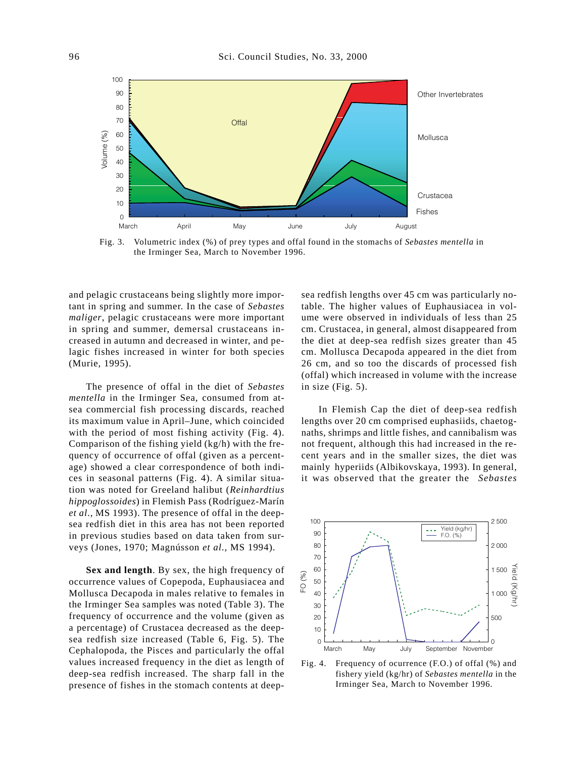

Fig. 3. Volumetric index (%) of prey types and offal found in the stomachs of *Sebastes mentella* in the Irminger Sea, March to November 1996.

and pelagic crustaceans being slightly more important in spring and summer. In the case of *Sebastes maliger*, pelagic crustaceans were more important in spring and summer, demersal crustaceans increased in autumn and decreased in winter, and pelagic fishes increased in winter for both species (Murie, 1995).

The presence of offal in the diet of *Sebastes mentella* in the Irminger Sea, consumed from atsea commercial fish processing discards, reached its maximum value in April–June, which coincided with the period of most fishing activity (Fig. 4). Comparison of the fishing yield (kg/h) with the frequency of occurrence of offal (given as a percentage) showed a clear correspondence of both indices in seasonal patterns (Fig. 4). A similar situation was noted for Greeland halibut (*Reinhardtius hippoglossoides*) in Flemish Pass (Rodríguez-Marín *et al*., MS 1993). The presence of offal in the deepsea redfish diet in this area has not been reported in previous studies based on data taken from surveys (Jones, 1970; Magnússon *et al*., MS 1994).

**Sex and length**. By sex, the high frequency of occurrence values of Copepoda, Euphausiacea and Mollusca Decapoda in males relative to females in the Irminger Sea samples was noted (Table 3). The frequency of occurrence and the volume (given as a percentage) of Crustacea decreased as the deepsea redfish size increased (Table 6, Fig. 5). The Cephalopoda, the Pisces and particularly the offal values increased frequency in the diet as length of deep-sea redfish increased. The sharp fall in the presence of fishes in the stomach contents at deepsea redfish lengths over 45 cm was particularly notable. The higher values of Euphausiacea in volume were observed in individuals of less than 25 cm. Crustacea, in general, almost disappeared from the diet at deep-sea redfish sizes greater than 45 cm. Mollusca Decapoda appeared in the diet from 26 cm, and so too the discards of processed fish (offal) which increased in volume with the increase in size (Fig. 5).

In Flemish Cap the diet of deep-sea redfish lengths over 20 cm comprised euphasiids, chaetognaths, shrimps and little fishes, and cannibalism was not frequent, although this had increased in the recent years and in the smaller sizes, the diet was mainly hyperiids (Albikovskaya, 1993). In general, it was observed that the greater the *Sebastes*



Fig. 4. Frequency of ocurrence (F.O.) of offal (%) and fishery yield (kg/hr) of *Sebastes mentella* in the Irminger Sea, March to November 1996.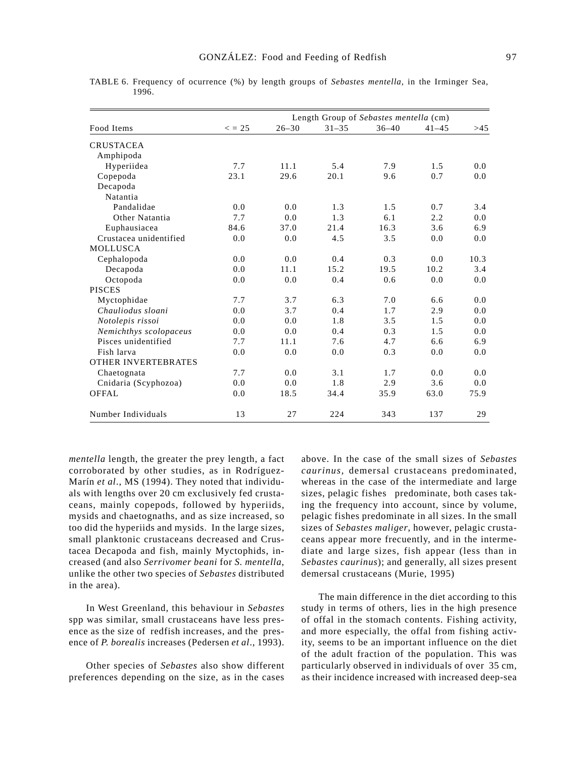|                            |             |           | Length Group of Sebastes mentella (cm) |           |           |      |
|----------------------------|-------------|-----------|----------------------------------------|-----------|-----------|------|
| Food Items                 | $\leq$ = 25 | $26 - 30$ | $31 - 35$                              | $36 - 40$ | $41 - 45$ | >45  |
| <b>CRUSTACEA</b>           |             |           |                                        |           |           |      |
| Amphipoda                  |             |           |                                        |           |           |      |
| Hyperiidea                 | 7.7         | 11.1      | 5.4                                    | 7.9       | 1.5       | 0.0  |
| Copepoda                   | 23.1        | 29.6      | 20.1                                   | 9.6       | 0.7       | 0.0  |
| Decapoda                   |             |           |                                        |           |           |      |
| Natantia                   |             |           |                                        |           |           |      |
| Pandalidae                 | 0.0         | 0.0       | 1.3                                    | 1.5       | 0.7       | 3.4  |
| Other Natantia             | 7.7         | 0.0       | 1.3                                    | 6.1       | 2.2       | 0.0  |
| Euphausiacea               | 84.6        | 37.0      | 21.4                                   | 16.3      | 3.6       | 6.9  |
| Crustacea unidentified     | 0.0         | 0.0       | 4.5                                    | 3.5       | 0.0       | 0.0  |
| <b>MOLLUSCA</b>            |             |           |                                        |           |           |      |
| Cephalopoda                | 0.0         | 0.0       | 0.4                                    | 0.3       | 0.0       | 10.3 |
| Decapoda                   | 0.0         | 11.1      | 15.2                                   | 19.5      | 10.2      | 3.4  |
| Octopoda                   | 0.0         | 0.0       | 0.4                                    | 0.6       | 0.0       | 0.0  |
| <b>PISCES</b>              |             |           |                                        |           |           |      |
| Myctophidae                | 7.7         | 3.7       | 6.3                                    | 7.0       | 6.6       | 0.0  |
| Chauliodus sloani          | 0.0         | 3.7       | 0.4                                    | 1.7       | 2.9       | 0.0  |
| Notolepis rissoi           | 0.0         | 0.0       | 1.8                                    | 3.5       | 1.5       | 0.0  |
| Nemichthys scolopaceus     | 0.0         | 0.0       | 0.4                                    | 0.3       | 1.5       | 0.0  |
| Pisces unidentified        | 7.7         | 11.1      | 7.6                                    | 4.7       | 6.6       | 6.9  |
| Fish larva                 | 0.0         | 0.0       | 0.0                                    | 0.3       | 0.0       | 0.0  |
| <b>OTHER INVERTEBRATES</b> |             |           |                                        |           |           |      |
| Chaetognata                | 7.7         | 0.0       | 3.1                                    | 1.7       | 0.0       | 0.0  |
| Cnidaria (Scyphozoa)       | 0.0         | 0.0       | 1.8                                    | 2.9       | 3.6       | 0.0  |
| OFFAL                      | 0.0         | 18.5      | 34.4                                   | 35.9      | 63.0      | 75.9 |
| Number Individuals         | 13          | 27        | 224                                    | 343       | 137       | 29   |

TABLE 6. Frequency of ocurrence (%) by length groups of *Sebastes mentella*, in the Irminger Sea, 1996.

*mentella* length, the greater the prey length, a fact corroborated by other studies, as in Rodríguez-Marín *et al*., MS (1994). They noted that individuals with lengths over 20 cm exclusively fed crustaceans, mainly copepods, followed by hyperiids, mysids and chaetognaths, and as size increased, so too did the hyperiids and mysids. In the large sizes, small planktonic crustaceans decreased and Crustacea Decapoda and fish, mainly Myctophids, increased (and also *Serrivomer beani* for *S. mentella*, unlike the other two species of *Sebastes* distributed in the area).

In West Greenland, this behaviour in *Sebastes* spp was similar, small crustaceans have less presence as the size of redfish increases, and the presence of *P. borealis* increases (Pedersen *et al*., 1993).

Other species of *Sebastes* also show different preferences depending on the size, as in the cases above. In the case of the small sizes of *Sebastes caurinus,* demersal crustaceans predominated, whereas in the case of the intermediate and large sizes, pelagic fishes predominate, both cases taking the frequency into account, since by volume, pelagic fishes predominate in all sizes. In the small sizes of *Sebastes maliger*, however, pelagic crustaceans appear more frecuently, and in the intermediate and large sizes, fish appear (less than in *Sebastes caurinus*); and generally, all sizes present demersal crustaceans (Murie, 1995)

The main difference in the diet according to this study in terms of others, lies in the high presence of offal in the stomach contents. Fishing activity, and more especially, the offal from fishing activity, seems to be an important influence on the diet of the adult fraction of the population. This was particularly observed in individuals of over 35 cm, as their incidence increased with increased deep-sea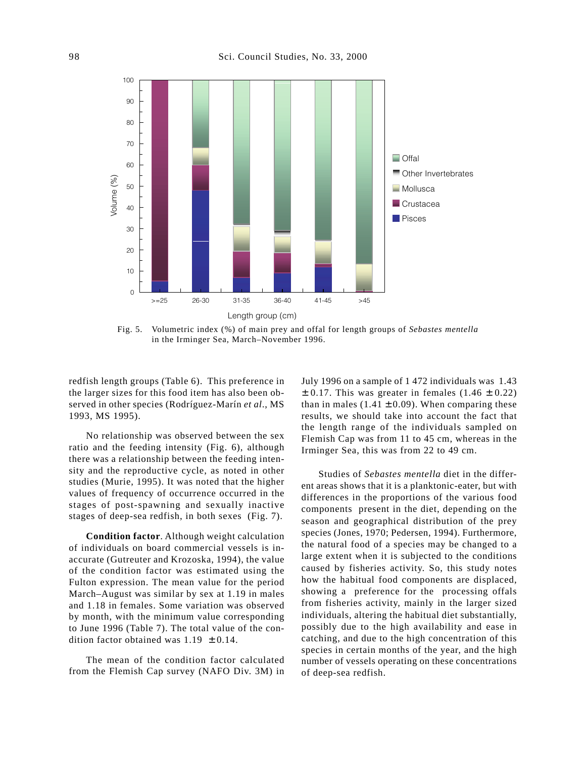

Fig. 5. Volumetric index (%) of main prey and offal for length groups of *Sebastes mentella* in the Irminger Sea, March–November 1996.

redfish length groups (Table 6). This preference in the larger sizes for this food item has also been observed in other species (Rodríguez-Marín *et al*., MS 1993, MS 1995).

No relationship was observed between the sex ratio and the feeding intensity (Fig. 6), although there was a relationship between the feeding intensity and the reproductive cycle, as noted in other studies (Murie, 1995). It was noted that the higher values of frequency of occurrence occurred in the stages of post-spawning and sexually inactive stages of deep-sea redfish, in both sexes (Fig. 7).

**Condition factor**. Although weight calculation of individuals on board commercial vessels is inaccurate (Gutreuter and Krozoska, 1994), the value of the condition factor was estimated using the Fulton expression. The mean value for the period March–August was similar by sex at 1.19 in males and 1.18 in females. Some variation was observed by month, with the minimum value corresponding to June 1996 (Table 7). The total value of the condition factor obtained was  $1.19 \pm 0.14$ .

The mean of the condition factor calculated from the Flemish Cap survey (NAFO Div. 3M) in July 1996 on a sample of 1 472 individuals was 1.43  $\pm$  0.17. This was greater in females (1.46  $\pm$  0.22) than in males (1.41  $\pm$  0.09). When comparing these results, we should take into account the fact that the length range of the individuals sampled on Flemish Cap was from 11 to 45 cm, whereas in the Irminger Sea, this was from 22 to 49 cm.

Studies of *Sebastes mentella* diet in the different areas shows that it is a planktonic-eater, but with differences in the proportions of the various food components present in the diet, depending on the season and geographical distribution of the prey species (Jones, 1970; Pedersen, 1994). Furthermore, the natural food of a species may be changed to a large extent when it is subjected to the conditions caused by fisheries activity. So, this study notes how the habitual food components are displaced, showing a preference for the processing offals from fisheries activity, mainly in the larger sized individuals, altering the habitual diet substantially, possibly due to the high availability and ease in catching, and due to the high concentration of this species in certain months of the year, and the high number of vessels operating on these concentrations of deep-sea redfish.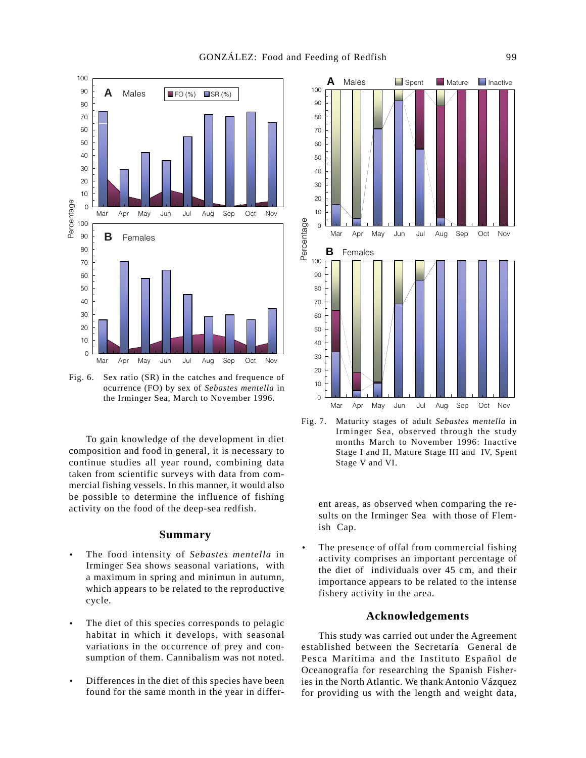

Fig. 6. Sex ratio (SR) in the catches and frequence of ocurrence (FO) by sex of *Sebastes mentella* in the Irminger Sea, March to November 1996.

To gain knowledge of the development in diet composition and food in general, it is necessary to continue studies all year round, combining data taken from scientific surveys with data from commercial fishing vessels. In this manner, it would also be possible to determine the influence of fishing activity on the food of the deep-sea redfish.

### **Summary**

- The food intensity of *Sebastes mentella* in Irminger Sea shows seasonal variations, with a maximum in spring and minimun in autumn, which appears to be related to the reproductive cycle.
- The diet of this species corresponds to pelagic habitat in which it develops, with seasonal variations in the occurrence of prey and consumption of them. Cannibalism was not noted.
- Differences in the diet of this species have been found for the same month in the year in differ-



Fig. 7. Maturity stages of adult *Sebastes mentella* in Irminger Sea, observed through the study months March to November 1996: Inactive Stage I and II, Mature Stage III and IV, Spent Stage V and VI.

ent areas, as observed when comparing the results on the Irminger Sea with those of Flemish Cap.

The presence of offal from commercial fishing activity comprises an important percentage of the diet of individuals over 45 cm, and their importance appears to be related to the intense fishery activity in the area.

# **Acknowledgements**

This study was carried out under the Agreement established between the Secretaría General de Pesca Marítima and the Instituto Español de Oceanografía for researching the Spanish Fisheries in the North Atlantic. We thank Antonio Vázquez for providing us with the length and weight data,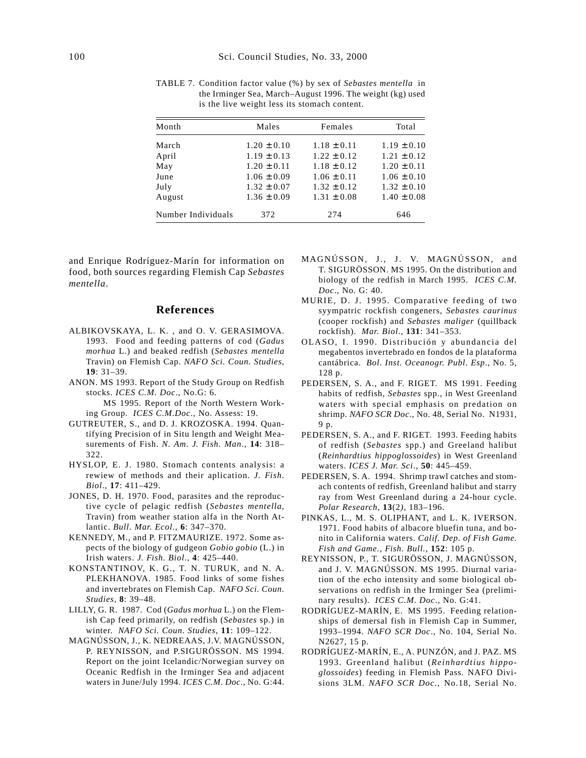| Month              | Males           | Females         | Total           |
|--------------------|-----------------|-----------------|-----------------|
| March              | $1.20 \pm 0.10$ | $1.18 \pm 0.11$ | $1.19 \pm 0.10$ |
| April              | $1.19 \pm 0.13$ | $1.22 \pm 0.12$ | $1.21 \pm 0.12$ |
| May                | $1.20 \pm 0.11$ | $1.18 \pm 0.12$ | $1.20 \pm 0.11$ |
| June               | $1.06 \pm 0.09$ | $1.06 \pm 0.11$ | $1.06 \pm 0.10$ |
| July               | $1.32 \pm 0.07$ | $1.32 \pm 0.12$ | $1.32 \pm 0.10$ |
| August             | $1.36 \pm 0.09$ | $1.31 \pm 0.08$ | $1.40 \pm 0.08$ |
| Number Individuals | 372             | 274             | 646             |

TABLE 7. Condition factor value (%) by sex of *Sebastes mentella* in the Irminger Sea, March–August 1996. The weight (kg) used is the live weight less its stomach content.

and Enrique Rodríguez-Marín for information on food, both sources regarding Flemish Cap *Sebastes mentella*.

# **References**

- ALBIKOVSKAYA, L. K. , and O. V. GERASIMOVA. 1993. Food and feeding patterns of cod (*Gadus morhua* L.) and beaked redfish (*Sebastes mentella* Travin) on Flemish Cap. *NAFO Sci. Coun. Studies*, **19**: 31–39.
- ANON. MS 1993. Report of the Study Group on Redfish stocks. *ICES C.M. Doc*., No.G: 6.

MS 1995. Report of the North Western Working Group. *ICES C.M.Doc*., No. Assess: 19.

- GUTREUTER, S., and D. J. KROZOSKA. 1994. Quantifying Precision of in Situ length and Weight Measurements of Fish. *N. Am. J. Fish. Man*., **14**: 318– 322.
- HYSLOP, E. J. 1980. Stomach contents analysis: a rewiew of methods and their aplication. *J. Fish. Biol*., **17**: 411–429.
- JONES, D. H. 1970. Food, parasites and the reproductive cycle of pelagic redfish (*Sebastes mentella*, Travin) from weather station alfa in the North Atlantic. *Bull. Mar. Ecol*., **6**: 347–370.
- KENNEDY, M., and P. FITZMAURIZE. 1972. Some aspects of the biology of gudgeon *Gobio gobio* (L.) in Irish waters. *J. Fish. Biol*., **4**: 425–440.
- KONSTANTINOV, K. G., T. N. TURUK, and N. A. PLEKHANOVA. 1985. Food links of some fishes and invertebrates on Flemish Cap. *NAFO Sci. Coun. Studies*, **8**: 39–48.
- LILLY, G. R. 1987. Cod (*Gadus morhua* L.) on the Flemish Cap feed primarily, on redfish (*Sebastes* sp.) in winter. *NAFO Sci. Coun. Studies*, **11**: 109–122.
- MAGNÚSSON, J., K. NEDREAAS, J.V. MAGNÚSSON, P. REYNISSON, and P.SIGURÖSSON. MS 1994. Report on the joint Icelandic/Norwegian survey on Oceanic Redfish in the Irminger Sea and adjacent waters in June/July 1994. *ICES C.M*. *Doc*., No. G:44.
- MAGNÚSSON, J., J. V. MAGNÚSSON, and T. SIGURÖSSON. MS 1995. On the distribution and biology of the redfish in March 1995. *ICES C.M. Doc*., No. G: 40.
- MURIE, D. J. 1995. Comparative feeding of two syympatric rockfish congeners, *Sebastes caurinus* (cooper rockfish) and *Sebastes maliger* (quillback rockfish). *Mar. Biol*., **131**: 341–353.
- OLASO, I. 1990. Distribución y abundancia del megabentos invertebrado en fondos de la plataforma cantábrica. *Bol. Inst. Oceanogr. Publ. Esp*., No. 5, 128 p.
- PEDERSEN, S. A., and F. RIGET. MS 1991. Feeding habits of redfish, *Sebastes* spp., in West Greenland waters with special emphasis on predation on shrimp. *NAFO SCR Doc*., No. 48, Serial No. N1931, 9 p.
- PEDERSEN, S. A., and F. RIGET. 1993. Feeding habits of redfish (*Sebastes* spp.) and Greeland halibut (*Reinhardtius hippoglossoides*) in West Greenland waters. *ICES J. Mar. Sci*., **50**: 445–459.
- PEDERSEN, S. A. 1994. Shrimp trawl catches and stomach contents of redfish, Greenland halibut and starry ray from West Greenland during a 24-hour cycle. *Polar Research,* **13**(2*)*, 183–196.
- PINKAS, L., M. S. OLIPHANT, and L. K. IVERSON. 1971. Food habits of albacore bluefin tuna, and bonito in California waters. *Calif. Dep. of Fish Game. Fish and Game., Fish. Bull.*, **152**: 105 p.
- REYNISSON, P., T. SIGURÖSSON, J. MAGNÚSSON, and J. V. MAGNÚSSON. MS 1995. Diurnal variation of the echo intensity and some biological observations on redfish in the Irminger Sea (preliminary results). *ICES C.M. Doc*., No. G:41.
- RODRÍGUEZ-MARÍN, E. MS 1995. Feeding relationships of demersal fish in Flemish Cap in Summer, 1993–1994. *NAFO SCR Doc*., No. 104, Serial No. N2627, 15 p.
- RODRÍGUEZ-MARÍN, E., A. PUNZÓN, and J. PAZ. MS 1993. Greenland halibut (*Reinhardtius hippoglossoides*) feeding in Flemish Pass. NAFO Divisions 3LM. *NAFO SCR Doc*., No.18, Serial No.